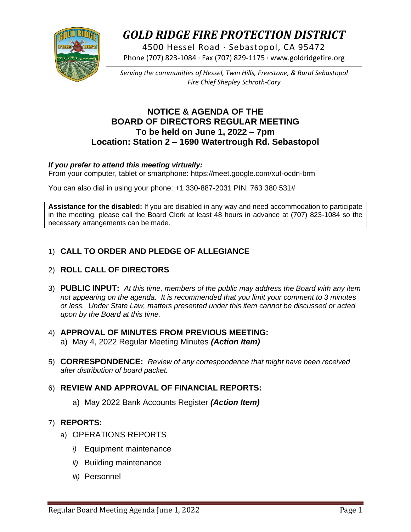

# *GOLD RIDGE FIRE PROTECTION DISTRICT*

4500 Hessel Road · Sebastopol, CA 95472 Phone (707) 823-1084 · Fax (707) 829-1175 · www.goldridgefire.org

*Serving the communities of Hessel, Twin Hills, Freestone, & Rural Sebastopol Fire Chief Shepley Schroth-Cary*

## **NOTICE & AGENDA OF THE BOARD OF DIRECTORS REGULAR MEETING To be held on June 1, 2022 – 7pm Location: Station 2 – 1690 Watertrough Rd. Sebastopol**

#### *If you prefer to attend this meeting virtually:*

From your computer, tablet or smartphone: https://meet.google.com/xuf-ocdn-brm

You can also dial in using your phone: +1 330-887-2031 PIN: 763 380 531#

**Assistance for the disabled:** If you are disabled in any way and need accommodation to participate in the meeting, please call the Board Clerk at least 48 hours in advance at (707) 823-1084 so the necessary arrangements can be made.

## 1) **CALL TO ORDER AND PLEDGE OF ALLEGIANCE**

- 2) **ROLL CALL OF DIRECTORS**
- 3) **PUBLIC INPUT:** *At this time, members of the public may address the Board with any item not appearing on the agenda. It is recommended that you limit your comment to 3 minutes or less. Under State Law, matters presented under this item cannot be discussed or acted upon by the Board at this time.*

# 4) **APPROVAL OF MINUTES FROM PREVIOUS MEETING:**

- a) May 4, 2022 Regular Meeting Minutes *(Action Item)*
- 5) **CORRESPONDENCE:** *Review of any correspondence that might have been received after distribution of board packet.*

#### 6) **REVIEW AND APPROVAL OF FINANCIAL REPORTS:**

a) May 2022 Bank Accounts Register *(Action Item)*

#### 7) **REPORTS:**

- a) OPERATIONS REPORTS
	- *i)* Equipment maintenance
	- *ii)* Building maintenance
	- *iii)* Personnel